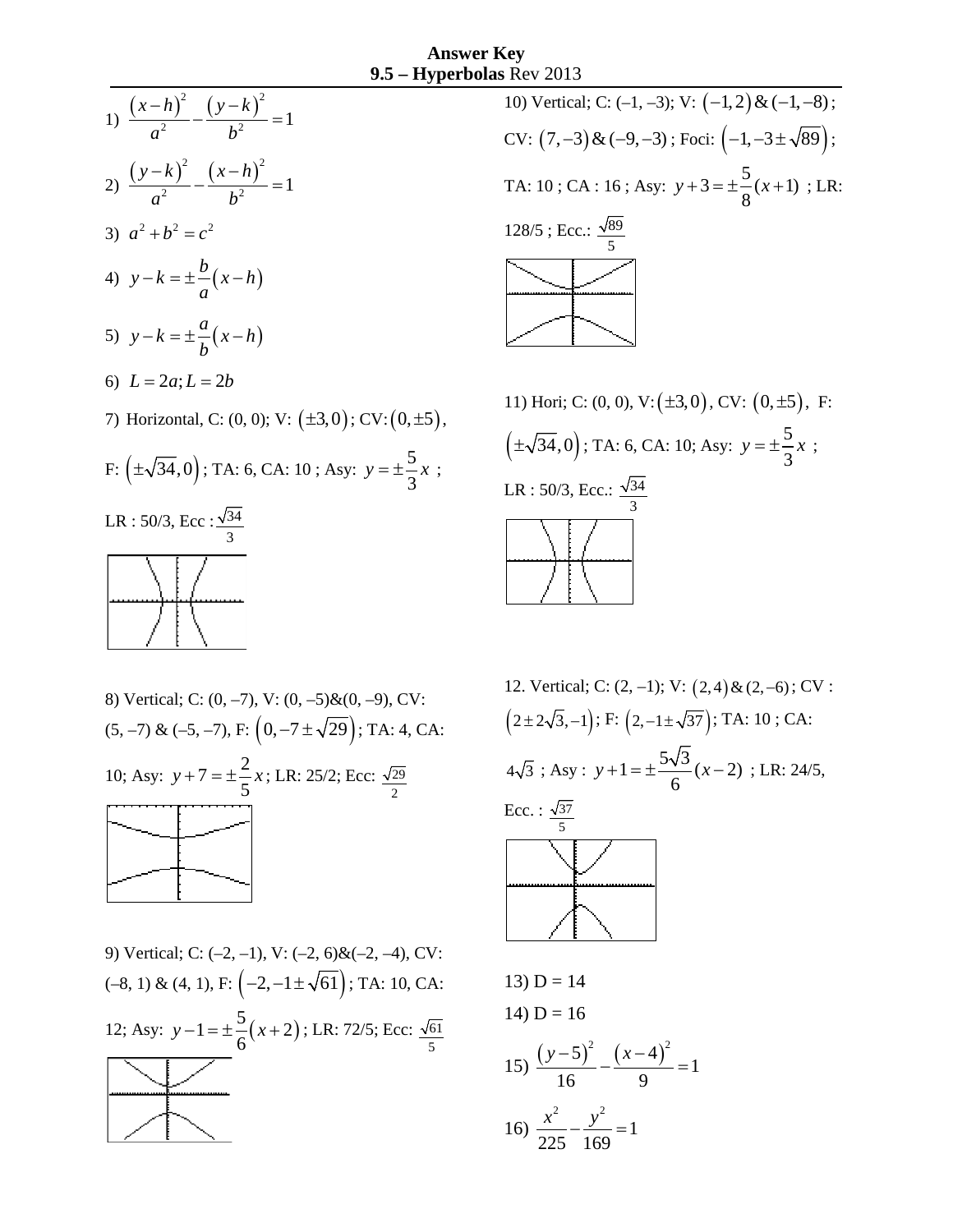



11) Hori; C:  $(0, 0)$ , V:  $(\pm 3, 0)$ , CV:  $(0, \pm 5)$ , F:  $(\pm \sqrt{34}, 0);$  TA: 6, CA: 10; Asy:  $y = \pm \frac{5}{3}x;$ LR : 50/3, Ecc.:  $\frac{\sqrt{34}}{3}$ 3

8) Vertical; C: (0, -7), V: (0, -5)& (0, -9), CV:  
(5, -7) & (5, -7), F: 
$$
\left(0, -7 \pm \sqrt{29}\right)
$$
; TA: 4, CA:  
10; Asy:  $y + 7 = \pm \frac{2}{5}x$ ; LR: 25/2; Ecc:  $\frac{\sqrt{29}}{2}$ 

9) Vertical; C: (–2, –1), V: (–2, 6)&(–2, –4), CV:  $(-8, 1)$  &  $(4, 1)$ , F:  $\left(-2, -1 \pm \sqrt{61}\right)$ ; TA: 10, CA: 12; Asy:  $y - 1 = \pm \frac{5}{6}(x + 2)$ ; LR: 72/5; Ecc:  $\frac{\sqrt{61}}{5}$ 

12. Vertical; C: (2, -1); V: (2, 4) & (2, -6); CV:  
\n
$$
(2 \pm 2\sqrt{3}, -1)
$$
; F:  $(2, -1 \pm \sqrt{37})$ ; TA: 10; CA:  
\n $4\sqrt{3}$ ; Asy:  $y + 1 = \pm \frac{5\sqrt{3}}{6}(x - 2)$ ; LR: 24/5,  
\nEcc. :  $\frac{\sqrt{37}}{5}$   
\n13) D = 14  
\n14) D = 16  
\n15)  $\frac{(y - 5)^2}{16} - \frac{(x - 4)^2}{9} = 1$   
\n16)  $\frac{x^2}{225} - \frac{y^2}{16} = 1$ 

225 169